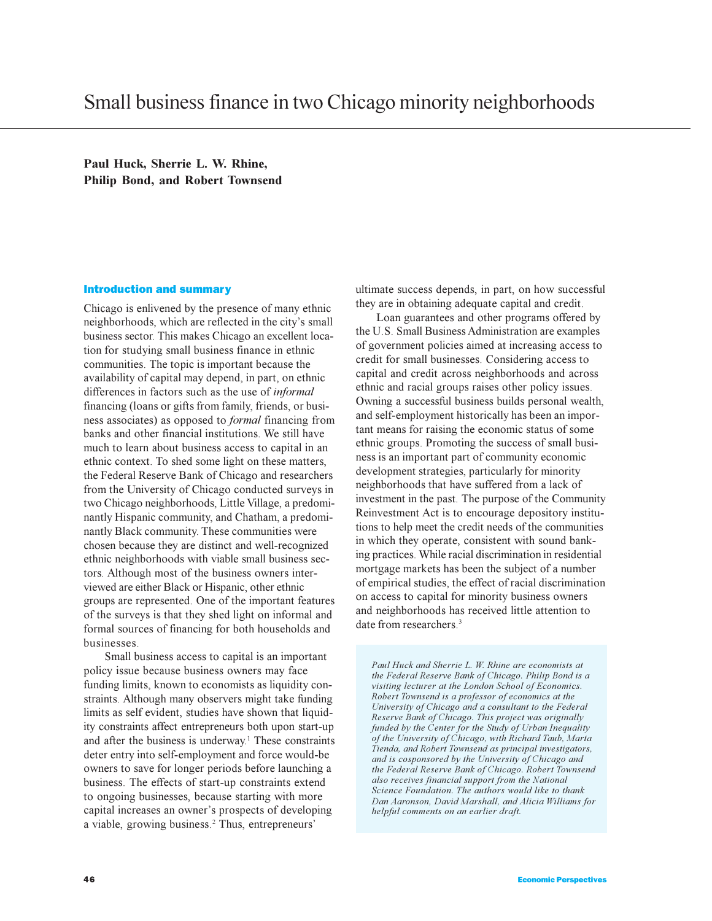**Paul Huck, Sherrie L. W. Rhine, Philip Bond, and Robert Townsend**

## Introduction and summary

Chicago is enlivened by the presence of many ethnic neighborhoods, which are reflected in the city's small business sector. This makes Chicago an excellent location for studying small business finance in ethnic communities. The topic is important because the availability of capital may depend, in part, on ethnic differences in factors such as the use of *informal* financing (loans or gifts from family, friends, or business associates) as opposed to *formal* financing from banks and other financial institutions. We still have much to learn about business access to capital in an ethnic context. To shed some light on these matters, the Federal Reserve Bank of Chicago and researchers from the University of Chicago conducted surveys in two Chicago neighborhoods, Little Village, a predominantly Hispanic community, and Chatham, a predominantly Black community. These communities were chosen because they are distinct and well-recognized ethnic neighborhoods with viable small business sectors. Although most of the business owners interviewed are either Black or Hispanic, other ethnic groups are represented. One of the important features of the surveys is that they shed light on informal and formal sources of financing for both households and businesses.

Small business access to capital is an important policy issue because business owners may face funding limits, known to economists as liquidity constraints. Although many observers might take funding limits as self evident, studies have shown that liquidity constraints affect entrepreneurs both upon start-up and after the business is underway.<sup>1</sup> These constraints deter entry into self-employment and force would-be owners to save for longer periods before launching a business. The effects of start-up constraints extend to ongoing businesses, because starting with more capital increases an owner's prospects of developing a viable, growing business.<sup>2</sup> Thus, entrepreneurs'

ultimate success depends, in part, on how successful they are in obtaining adequate capital and credit.

Loan guarantees and other programs offered by the U.S. Small Business Administration are examples of government policies aimed at increasing access to credit for small businesses. Considering access to capital and credit across neighborhoods and across ethnic and racial groups raises other policy issues. Owning a successful business builds personal wealth, and self-employment historically has been an important means for raising the economic status of some ethnic groups. Promoting the success of small business is an important part of community economic development strategies, particularly for minority neighborhoods that have suffered from a lack of investment in the past. The purpose of the Community Reinvestment Act is to encourage depository institutions to help meet the credit needs of the communities in which they operate, consistent with sound banking practices. While racial discrimination in residential mortgage markets has been the subject of a number of empirical studies, the effect of racial discrimination on access to capital for minority business owners and neighborhoods has received little attention to date from researchers<sup>3</sup>

*Paul Huck and Sherrie L. W. Rhine are economists at the Federal Reserve Bank of Chicago. Philip Bond is a visiting lecturer at the London School of Economics. Robert Townsend is a professor of economics at the University of Chicago and a consultant to the Federal Reserve Bank of Chicago. This project was originally funded by the Center for the Study of Urban Inequality of the University of Chicago, with Richard Taub, Marta Tienda, and Robert Townsend as principal investigators, and is cosponsored by the University of Chicago and the Federal Reserve Bank of Chicago. Robert Townsend also receives financial support from the National Science Foundation. The authors would like to thank Dan Aaronson, David Marshall, and Alicia Williams for helpful comments on an earlier draft.*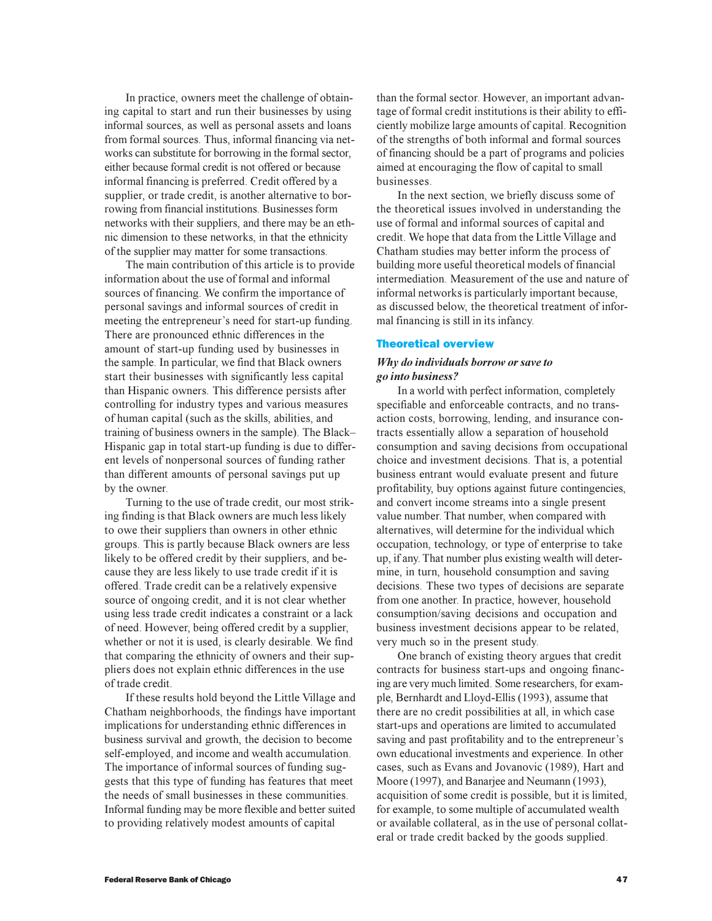In practice, owners meet the challenge of obtaining capital to start and run their businesses by using informal sources, as well as personal assets and loans from formal sources. Thus, informal financing via networks can substitute for borrowing in the formal sector, either because formal credit is not offered or because informal financing is preferred. Credit offered by a supplier, or trade credit, is another alternative to borrowing from financial institutions. Businesses form networks with their suppliers, and there may be an ethnic dimension to these networks, in that the ethnicity of the supplier may matter for some transactions.

The main contribution of this article is to provide information about the use of formal and informal sources of financing. We confirm the importance of personal savings and informal sources of credit in meeting the entrepreneur's need for start-up funding. There are pronounced ethnic differences in the amount of start-up funding used by businesses in the sample. In particular, we find that Black owners start their businesses with significantly less capital than Hispanic owners. This difference persists after controlling for industry types and various measures of human capital (such as the skills, abilities, and training of business owners in the sample). The Black Hispanic gap in total start-up funding is due to different levels of nonpersonal sources of funding rather than different amounts of personal savings put up by the owner.

Turning to the use of trade credit, our most striking finding is that Black owners are much less likely to owe their suppliers than owners in other ethnic groups. This is partly because Black owners are less likely to be offered credit by their suppliers, and because they are less likely to use trade credit if it is offered. Trade credit can be a relatively expensive source of ongoing credit, and it is not clear whether using less trade credit indicates a constraint or a lack of need. However, being offered credit by a supplier, whether or not it is used, is clearly desirable. We find that comparing the ethnicity of owners and their suppliers does not explain ethnic differences in the use of trade credit.

If these results hold beyond the Little Village and Chatham neighborhoods, the findings have important implications for understanding ethnic differences in business survival and growth, the decision to become self-employed, and income and wealth accumulation. The importance of informal sources of funding suggests that this type of funding has features that meet the needs of small businesses in these communities. Informal funding may be more flexible and better suited to providing relatively modest amounts of capital

than the formal sector. However, an important advantage of formal credit institutions is their ability to efficiently mobilize large amounts of capital. Recognition of the strengths of both informal and formal sources of financing should be a part of programs and policies aimed at encouraging the flow of capital to small businesses.

In the next section, we briefly discuss some of the theoretical issues involved in understanding the use of formal and informal sources of capital and credit. We hope that data from the Little Village and Chatham studies may better inform the process of building more useful theoretical models of financial intermediation. Measurement of the use and nature of informal networks is particularly important because, as discussed below, the theoretical treatment of informal financing is still in its infancy.

## Theoretical overview

# *Why do individuals borrow or save to go into business?*

In a world with perfect information, completely specifiable and enforceable contracts, and no transaction costs, borrowing, lending, and insurance contracts essentially allow a separation of household consumption and saving decisions from occupational choice and investment decisions. That is, a potential business entrant would evaluate present and future profitability, buy options against future contingencies, and convert income streams into a single present value number. That number, when compared with alternatives, will determine for the individual which occupation, technology, or type of enterprise to take up, if any. That number plus existing wealth will determine, in turn, household consumption and saving decisions. These two types of decisions are separate from one another. In practice, however, household consumption/saving decisions and occupation and business investment decisions appear to be related, very much so in the present study.

One branch of existing theory argues that credit contracts for business start-ups and ongoing financing are very much limited. Some researchers, for example, Bernhardt and Lloyd-Ellis (1993), assume that there are no credit possibilities at all, in which case start-ups and operations are limited to accumulated saving and past profitability and to the entrepreneur's own educational investments and experience. In other cases, such as Evans and Jovanovic (1989), Hart and Moore (1997), and Banarjee and Neumann (1993), acquisition of some credit is possible, but it is limited, for example, to some multiple of accumulated wealth or available collateral, as in the use of personal collateral or trade credit backed by the goods supplied.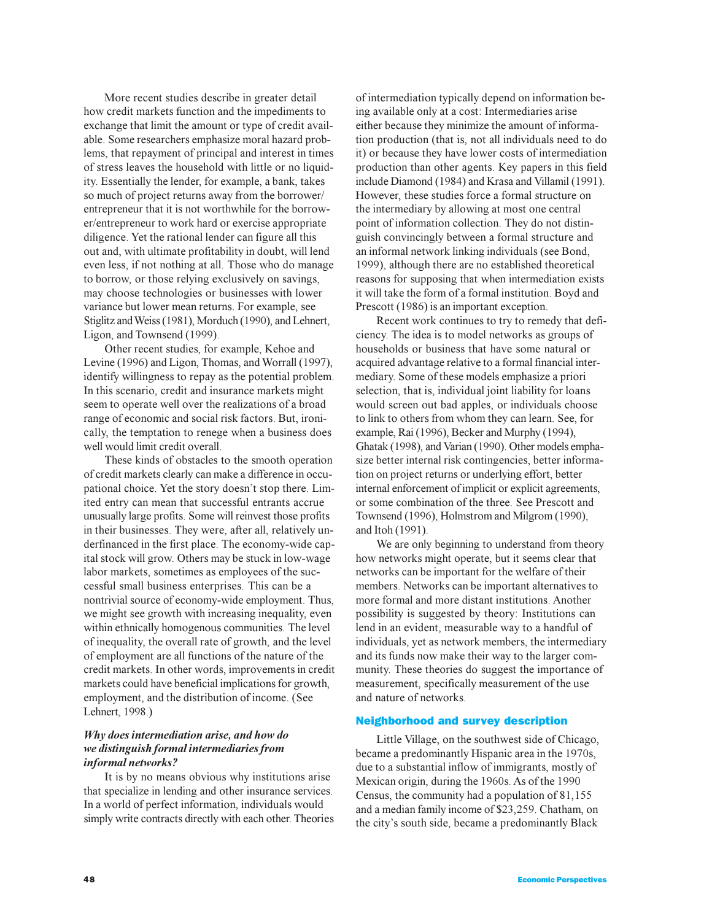More recent studies describe in greater detail how credit markets function and the impediments to exchange that limit the amount or type of credit available. Some researchers emphasize moral hazard problems, that repayment of principal and interest in times of stress leaves the household with little or no liquidity. Essentially the lender, for example, a bank, takes so much of project returns away from the borrower/ entrepreneur that it is not worthwhile for the borrower/entrepreneur to work hard or exercise appropriate diligence. Yet the rational lender can figure all this out and, with ultimate profitability in doubt, will lend even less, if not nothing at all. Those who do manage to borrow, or those relying exclusively on savings, may choose technologies or businesses with lower variance but lower mean returns. For example, see Stiglitz and Weiss (1981), Morduch (1990), and Lehnert, Ligon, and Townsend (1999).

Other recent studies, for example, Kehoe and Levine (1996) and Ligon, Thomas, and Worrall (1997), identify willingness to repay as the potential problem. In this scenario, credit and insurance markets might seem to operate well over the realizations of a broad range of economic and social risk factors. But, ironically, the temptation to renege when a business does well would limit credit overall.

These kinds of obstacles to the smooth operation of credit markets clearly can make a difference in occupational choice. Yet the story doesn't stop there. Limited entry can mean that successful entrants accrue unusually large profits. Some will reinvest those profits in their businesses. They were, after all, relatively underfinanced in the first place. The economy-wide capital stock will grow. Others may be stuck in low-wage labor markets, sometimes as employees of the successful small business enterprises. This can be a nontrivial source of economy-wide employment. Thus, we might see growth with increasing inequality, even within ethnically homogenous communities. The level of inequality, the overall rate of growth, and the level of employment are all functions of the nature of the credit markets. In other words, improvements in credit markets could have beneficial implications for growth, employment, and the distribution of income. (See Lehnert, 1998.)

# *Why does intermediation arise, and how do we distinguish formal intermediaries from informal networks?*

It is by no means obvious why institutions arise that specialize in lending and other insurance services. In a world of perfect information, individuals would simply write contracts directly with each other. Theories of intermediation typically depend on information being available only at a cost: Intermediaries arise either because they minimize the amount of information production (that is, not all individuals need to do it) or because they have lower costs of intermediation production than other agents. Key papers in this field include Diamond (1984) and Krasa and Villamil (1991). However, these studies force a formal structure on the intermediary by allowing at most one central point of information collection. They do not distinguish convincingly between a formal structure and an informal network linking individuals (see Bond, 1999), although there are no established theoretical reasons for supposing that when intermediation exists it will take the form of a formal institution. Boyd and Prescott (1986) is an important exception.

Recent work continues to try to remedy that deficiency. The idea is to model networks as groups of households or business that have some natural or acquired advantage relative to a formal financial intermediary. Some of these models emphasize a priori selection, that is, individual joint liability for loans would screen out bad apples, or individuals choose to link to others from whom they can learn. See, for example, Rai (1996), Becker and Murphy (1994), Ghatak (1998), and Varian (1990). Other models emphasize better internal risk contingencies, better information on project returns or underlying effort, better internal enforcement of implicit or explicit agreements, or some combination of the three. See Prescott and Townsend (1996), Holmstrom and Milgrom (1990), and Itoh (1991).

We are only beginning to understand from theory how networks might operate, but it seems clear that networks can be important for the welfare of their members. Networks can be important alternatives to more formal and more distant institutions. Another possibility is suggested by theory: Institutions can lend in an evident, measurable way to a handful of individuals, yet as network members, the intermediary and its funds now make their way to the larger community. These theories do suggest the importance of measurement, specifically measurement of the use and nature of networks.

#### Neighborhood and survey description

Little Village, on the southwest side of Chicago, became a predominantly Hispanic area in the 1970s, due to a substantial inflow of immigrants, mostly of Mexican origin, during the 1960s. As of the 1990 Census, the community had a population of 81,155 and a median family income of \$23,259. Chatham, on the city's south side, became a predominantly Black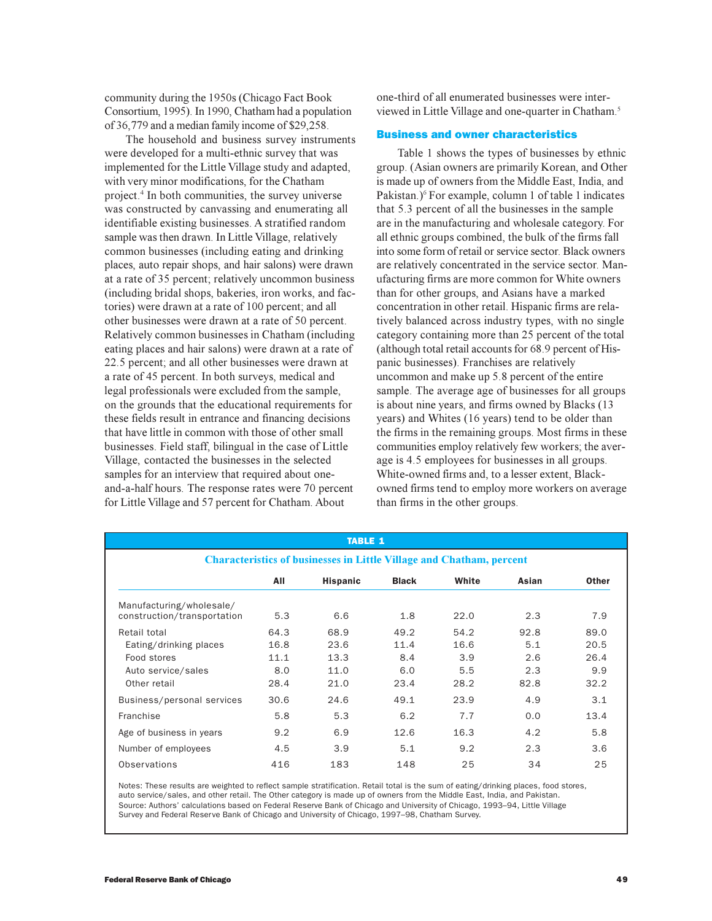community during the 1950s (Chicago Fact Book Consortium, 1995). In 1990, Chatham had a population of 36,779 and a median family income of \$29,258.

The household and business survey instruments were developed for a multi-ethnic survey that was implemented for the Little Village study and adapted, with very minor modifications, for the Chatham project.<sup>4</sup> In both communities, the survey universe was constructed by canvassing and enumerating all identifiable existing businesses. A stratified random sample was then drawn. In Little Village, relatively common businesses (including eating and drinking places, auto repair shops, and hair salons) were drawn at a rate of 35 percent; relatively uncommon business (including bridal shops, bakeries, iron works, and factories) were drawn at a rate of 100 percent; and all other businesses were drawn at a rate of 50 percent. Relatively common businesses in Chatham (including eating places and hair salons) were drawn at a rate of 22.5 percent; and all other businesses were drawn at a rate of 45 percent. In both surveys, medical and legal professionals were excluded from the sample, on the grounds that the educational requirements for these fields result in entrance and financing decisions that have little in common with those of other small businesses. Field staff, bilingual in the case of Little Village, contacted the businesses in the selected samples for an interview that required about oneand-a-half hours. The response rates were 70 percent for Little Village and 57 percent for Chatham. About

one-third of all enumerated businesses were interviewed in Little Village and one-quarter in Chatham.<sup>5</sup>

#### Business and owner characteristics

Table 1 shows the types of businesses by ethnic group. (Asian owners are primarily Korean, and Other is made up of owners from the Middle East, India, and Pakistan.)<sup>6</sup> For example, column 1 of table 1 indicates that 5.3 percent of all the businesses in the sample are in the manufacturing and wholesale category. For all ethnic groups combined, the bulk of the firms fall into some form of retail or service sector. Black owners are relatively concentrated in the service sector. Manufacturing firms are more common for White owners than for other groups, and Asians have a marked concentration in other retail. Hispanic firms are relatively balanced across industry types, with no single category containing more than 25 percent of the total (although total retail accounts for 68.9 percent of Hispanic businesses). Franchises are relatively uncommon and make up 5.8 percent of the entire sample. The average age of businesses for all groups is about nine years, and firms owned by Blacks (13 years) and Whites (16 years) tend to be older than the firms in the remaining groups. Most firms in these communities employ relatively few workers; the average is 4.5 employees for businesses in all groups. White-owned firms and, to a lesser extent, Blackowned firms tend to employ more workers on average than firms in the other groups.

|                                                         |                                                                             | <b>TABLE 1</b>  |              |       |       |              |  |  |  |
|---------------------------------------------------------|-----------------------------------------------------------------------------|-----------------|--------------|-------|-------|--------------|--|--|--|
|                                                         | <b>Characteristics of businesses in Little Village and Chatham, percent</b> |                 |              |       |       |              |  |  |  |
|                                                         | All                                                                         | <b>Hispanic</b> | <b>Black</b> | White | Asian | <b>Other</b> |  |  |  |
| Manufacturing/wholesale/<br>construction/transportation | 5.3                                                                         | 6.6             | 1.8          | 22.0  | 2.3   | 7.9          |  |  |  |
| Retail total                                            | 64.3                                                                        | 68.9            | 49.2         | 54.2  | 92.8  | 89.0         |  |  |  |
| Eating/drinking places                                  | 16.8                                                                        | 23.6            | 11.4         | 16.6  | 5.1   | 20.5         |  |  |  |
| Food stores                                             | 11.1                                                                        | 13.3            | 8.4          | 3.9   | 2.6   | 26.4         |  |  |  |
| Auto service/sales                                      | 8.0                                                                         | 11.0            | 6.0          | 5.5   | 2.3   | 9.9          |  |  |  |
| Other retail                                            | 28.4                                                                        | 21.0            | 23.4         | 28.2  | 82.8  | 32.2         |  |  |  |
| Business/personal services                              | 30.6                                                                        | 24.6            | 49.1         | 23.9  | 4.9   | 3.1          |  |  |  |
| Franchise                                               | 5.8                                                                         | 5.3             | 6.2          | 7.7   | 0.0   | 13.4         |  |  |  |
| Age of business in years                                | 9.2                                                                         | 6.9             | 12.6         | 16.3  | 4.2   | 5.8          |  |  |  |
| Number of employees                                     | 4.5                                                                         | 3.9             | 5.1          | 9.2   | 2.3   | 3.6          |  |  |  |
| Observations                                            | 416                                                                         | 183             | 148          | 25    | 34    | 25           |  |  |  |

Notes: These results are weighted to reflect sample stratification. Retail total is the sum of eating/drinking places, food stores, auto service/sales, and other retail. The Other category is made up of owners from the Middle East, India, and Pakistan. Source: Authors' calculations based on Federal Reserve Bank of Chicago and University of Chicago, 1993–94, Little Village Survey and Federal Reserve Bank of Chicago and University of Chicago, 1997–98, Chatham Survey.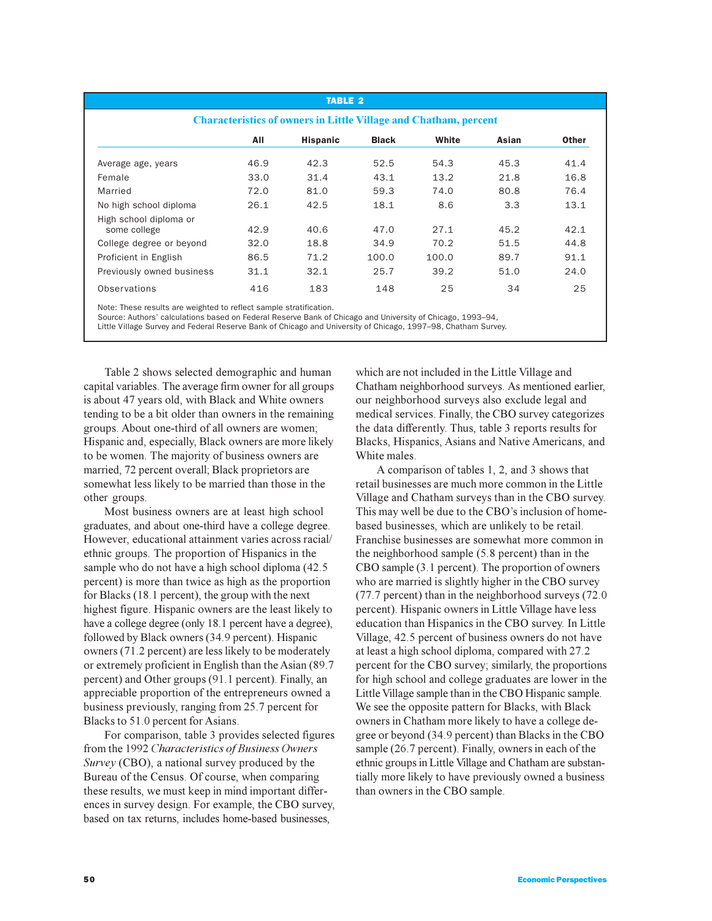|                                                                         |      | <b>TABLE 2</b>  |              |       |       |              |  |  |
|-------------------------------------------------------------------------|------|-----------------|--------------|-------|-------|--------------|--|--|
| <b>Characteristics of owners in Little Village and Chatham, percent</b> |      |                 |              |       |       |              |  |  |
|                                                                         | All  | <b>Hispanic</b> | <b>Black</b> | White | Asian | <b>Other</b> |  |  |
| Average age, years                                                      | 46.9 | 42.3            | 52.5         | 54.3  | 45.3  | 41.4         |  |  |
| Female                                                                  | 33.0 | 31.4            | 43.1         | 13.2  | 21.8  | 16.8         |  |  |
| Married                                                                 | 72.0 | 81.0            | 59.3         | 74.0  | 80.8  | 76.4         |  |  |
| No high school diploma                                                  | 26.1 | 42.5            | 18.1         | 8.6   | 3.3   | 13.1         |  |  |
| High school diploma or<br>some college                                  | 42.9 | 40.6            | 47.0         | 27.1  | 45.2  | 42.1         |  |  |
| College degree or beyond                                                | 32.0 | 18.8            | 34.9         | 70.2  | 51.5  | 44.8         |  |  |
| Proficient in English                                                   | 86.5 | 71.2            | 100.0        | 100.0 | 89.7  | 91.1         |  |  |
| Previously owned business                                               | 31.1 | 32.1            | 25.7         | 39.2  | 51.0  | 24.0         |  |  |
| Observations                                                            | 416  | 183             | 148          | 25    | 34    | 25           |  |  |

Note: These results are weighted to reflect sample stratification.

Source: Authors' calculations based on Federal Reserve Bank of Chicago and University of Chicago, 1993–94,

Little Village Survey and Federal Reserve Bank of Chicago and University of Chicago, 1997–98, Chatham Survey.

Table 2 shows selected demographic and human capital variables. The average firm owner for all groups is about 47 years old, with Black and White owners tending to be a bit older than owners in the remaining groups. About one-third of all owners are women; Hispanic and, especially, Black owners are more likely to be women. The majority of business owners are married, 72 percent overall; Black proprietors are somewhat less likely to be married than those in the other groups.

Most business owners are at least high school graduates, and about one-third have a college degree. However, educational attainment varies across racial/ ethnic groups. The proportion of Hispanics in the sample who do not have a high school diploma  $(42.5)$ percent) is more than twice as high as the proportion for Blacks (18.1 percent), the group with the next highest figure. Hispanic owners are the least likely to have a college degree (only 18.1 percent have a degree), followed by Black owners (34.9 percent). Hispanic owners (71.2 percent) are less likely to be moderately or extremely proficient in English than the Asian (89.7 percent) and Other groups (91.1 percent). Finally, an appreciable proportion of the entrepreneurs owned a business previously, ranging from 25.7 percent for Blacks to 51.0 percent for Asians.

For comparison, table 3 provides selected figures from the 1992 *Characteristics of Business Owners Survey* (CBO), a national survey produced by the Bureau of the Census. Of course, when comparing these results, we must keep in mind important differences in survey design. For example, the CBO survey, based on tax returns, includes home-based businesses,

which are not included in the Little Village and Chatham neighborhood surveys. As mentioned earlier, our neighborhood surveys also exclude legal and medical services. Finally, the CBO survey categorizes the data differently. Thus, table 3 reports results for Blacks, Hispanics, Asians and Native Americans, and White males.

A comparison of tables 1, 2, and 3 shows that retail businesses are much more common in the Little Village and Chatham surveys than in the CBO survey. This may well be due to the CBO's inclusion of homebased businesses, which are unlikely to be retail. Franchise businesses are somewhat more common in the neighborhood sample (5.8 percent) than in the CBO sample (3.1 percent). The proportion of owners who are married is slightly higher in the CBO survey (77.7 percent) than in the neighborhood surveys (72.0 percent). Hispanic owners in Little Village have less education than Hispanics in the CBO survey. In Little Village, 42.5 percent of business owners do not have at least a high school diploma, compared with 27.2 percent for the CBO survey; similarly, the proportions for high school and college graduates are lower in the Little Village sample than in the CBO Hispanic sample. We see the opposite pattern for Blacks, with Black owners in Chatham more likely to have a college degree or beyond (34.9 percent) than Blacks in the CBO sample (26.7 percent). Finally, owners in each of the ethnic groups in Little Village and Chatham are substantially more likely to have previously owned a business than owners in the CBO sample.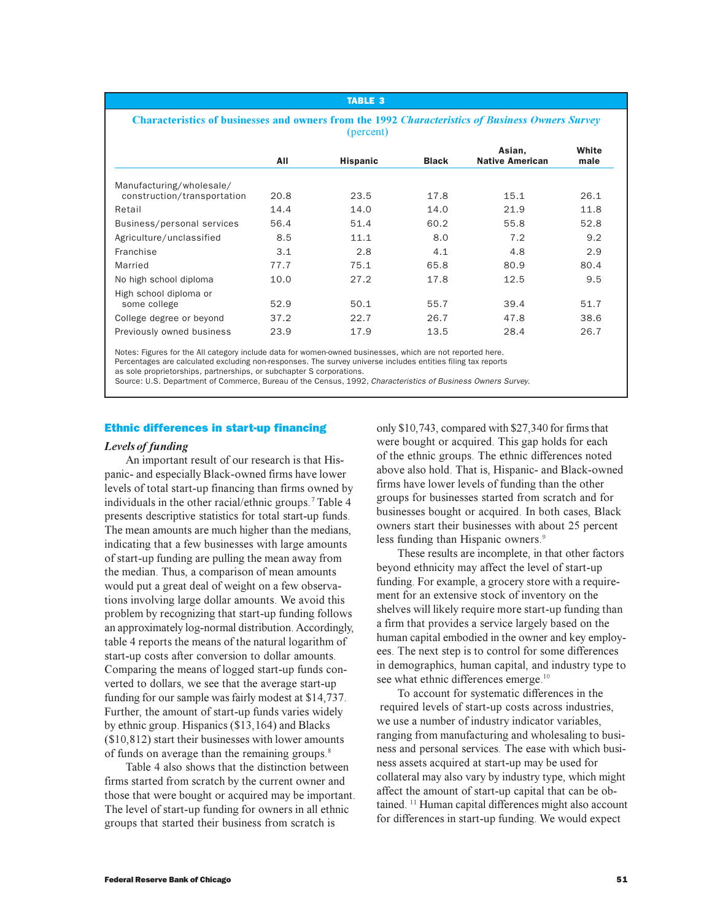#### TABLE 3

#### **Characteristics of businesses and owners from the 1992** *Characteristics of Business Owners Survey* (percent)

|                             |      |                 |              | Asian,                 | White |
|-----------------------------|------|-----------------|--------------|------------------------|-------|
|                             | All  | <b>Hispanic</b> | <b>Black</b> | <b>Native American</b> | male  |
| Manufacturing/wholesale/    |      |                 |              |                        |       |
| construction/transportation | 20.8 | 23.5            | 17.8         | 15.1                   | 26.1  |
| Retail                      | 14.4 | 14.0            | 14.0         | 21.9                   | 11.8  |
| Business/personal services  | 56.4 | 51.4            | 60.2         | 55.8                   | 52.8  |
| Agriculture/unclassified    | 8.5  | 11.1            | 8.0          | 7.2                    | 9.2   |
| Franchise                   | 3.1  | 2.8             | 4.1          | 4.8                    | 2.9   |
| Married                     | 77.7 | 75.1            | 65.8         | 80.9                   | 80.4  |
| No high school diploma      | 10.0 | 27.2            | 17.8         | 12.5                   | 9.5   |
| High school diploma or      |      |                 |              |                        |       |
| some college                | 52.9 | 50.1            | 55.7         | 39.4                   | 51.7  |
| College degree or beyond    | 37.2 | 22.7            | 26.7         | 47.8                   | 38.6  |
| Previously owned business   | 23.9 | 17.9            | 13.5         | 28.4                   | 26.7  |
|                             |      |                 |              |                        |       |

Notes: Figures for the All category include data for women-owned businesses, which are not reported here.

Percentages are calculated excluding non-responses. The survey universe includes entities filing tax reports as sole proprietorships, partnerships, or subchapter S corporations.

Source: U.S. Department of Commerce, Bureau of the Census, 1992, Characteristics of Business Owners Survey.

# Ethnic differences in start-up financing

### *Levels of funding*

An important result of our research is that Hispanic- and especially Black-owned firms have lower levels of total start-up financing than firms owned by individuals in the other racial/ethnic groups.<sup>7</sup> Table 4 presents descriptive statistics for total start-up funds. The mean amounts are much higher than the medians, indicating that a few businesses with large amounts of start-up funding are pulling the mean away from the median. Thus, a comparison of mean amounts would put a great deal of weight on a few observations involving large dollar amounts. We avoid this problem by recognizing that start-up funding follows an approximately log-normal distribution. Accordingly, table 4 reports the means of the natural logarithm of start-up costs after conversion to dollar amounts. Comparing the means of logged start-up funds converted to dollars, we see that the average start-up funding for our sample was fairly modest at \$14,737. Further, the amount of start-up funds varies widely by ethnic group. Hispanics (\$13,164) and Blacks (\$10,812) start their businesses with lower amounts of funds on average than the remaining groups.<sup>8</sup>

Table 4 also shows that the distinction between firms started from scratch by the current owner and those that were bought or acquired may be important. The level of start-up funding for owners in all ethnic groups that started their business from scratch is

only \$10,743, compared with \$27,340 for firms that were bought or acquired. This gap holds for each of the ethnic groups. The ethnic differences noted above also hold. That is, Hispanic- and Black-owned firms have lower levels of funding than the other groups for businesses started from scratch and for businesses bought or acquired. In both cases, Black owners start their businesses with about 25 percent less funding than Hispanic owners.<sup>9</sup>

These results are incomplete, in that other factors beyond ethnicity may affect the level of start-up funding. For example, a grocery store with a requirement for an extensive stock of inventory on the shelves will likely require more start-up funding than a firm that provides a service largely based on the human capital embodied in the owner and key employees. The next step is to control for some differences in demographics, human capital, and industry type to see what ethnic differences emerge.<sup>10</sup>

To account for systematic differences in the required levels of start-up costs across industries, we use a number of industry indicator variables, ranging from manufacturing and wholesaling to business and personal services. The ease with which business assets acquired at start-up may be used for collateral may also vary by industry type, which might affect the amount of start-up capital that can be obtained. <sup>11</sup> Human capital differences might also account for differences in start-up funding. We would expect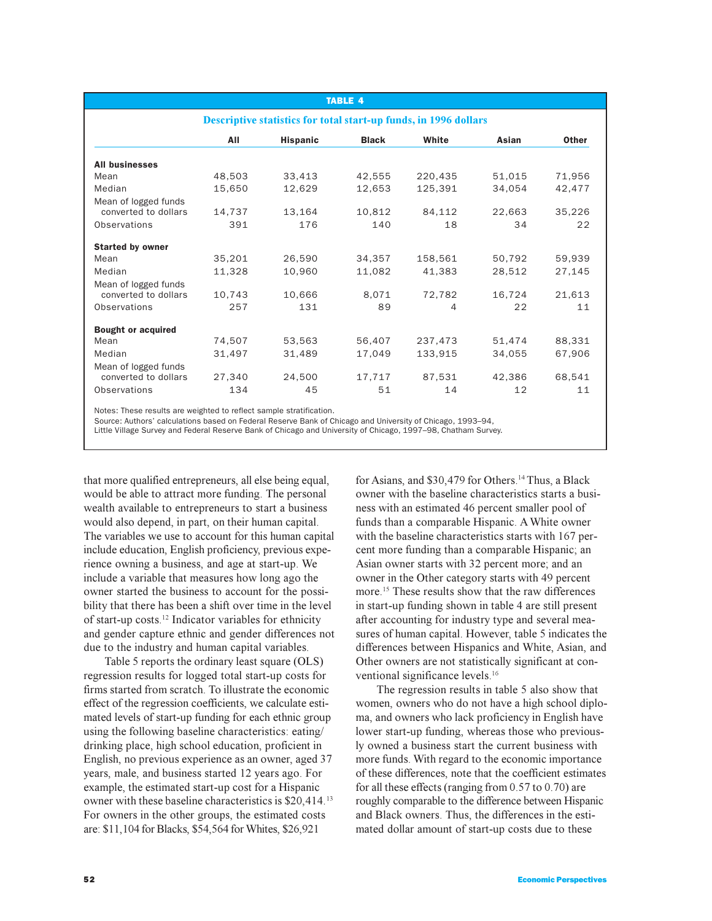|                                              |        |                                                                         | <b>TABLE 4</b> |         |        |              |
|----------------------------------------------|--------|-------------------------------------------------------------------------|----------------|---------|--------|--------------|
|                                              |        | <b>Descriptive statistics for total start-up funds, in 1996 dollars</b> |                |         |        |              |
|                                              | All    | <b>Hispanic</b>                                                         | <b>Black</b>   | White   | Asian  | <b>Other</b> |
| <b>All businesses</b>                        |        |                                                                         |                |         |        |              |
| Mean                                         | 48,503 | 33,413                                                                  | 42,555         | 220,435 | 51,015 | 71,956       |
| Median                                       | 15,650 | 12,629                                                                  | 12,653         | 125,391 | 34,054 | 42,477       |
| Mean of logged funds<br>converted to dollars | 14,737 | 13,164                                                                  | 10,812         | 84,112  | 22,663 | 35,226       |
| <b>Observations</b>                          | 391    | 176                                                                     | 140            | 18      | 34     | 22           |
| <b>Started by owner</b><br>Mean              | 35,201 | 26,590                                                                  | 34,357         | 158,561 | 50,792 | 59,939       |
| Median                                       | 11,328 | 10,960                                                                  | 11,082         | 41,383  | 28,512 | 27,145       |
| Mean of logged funds<br>converted to dollars | 10,743 | 10,666                                                                  | 8.071          | 72,782  | 16,724 | 21,613       |
| Observations                                 | 257    | 131                                                                     | 89             | 4       | 22     | 11           |
| <b>Bought or acquired</b>                    |        |                                                                         |                |         |        |              |
| Mean                                         | 74,507 | 53,563                                                                  | 56,407         | 237,473 | 51,474 | 88,331       |
| Median<br>Mean of logged funds               | 31,497 | 31,489                                                                  | 17,049         | 133,915 | 34,055 | 67,906       |
| converted to dollars                         | 27,340 | 24,500                                                                  | 17,717         | 87,531  | 42,386 | 68,541       |
| Observations                                 | 134    | 45                                                                      | 51             | 14      | 12     | 11           |

Notes: These results are weighted to reflect sample stratification.

Source: Authors' calculations based on Federal Reserve Bank of Chicago and University of Chicago, 1993–94,

Little Village Survey and Federal Reserve Bank of Chicago and University of Chicago, 1997–98, Chatham Survey.

that more qualified entrepreneurs, all else being equal, would be able to attract more funding. The personal wealth available to entrepreneurs to start a business would also depend, in part, on their human capital. The variables we use to account for this human capital include education, English proficiency, previous experience owning a business, and age at start-up. We include a variable that measures how long ago the owner started the business to account for the possibility that there has been a shift over time in the level of start-up costs.<sup>12</sup> Indicator variables for ethnicity and gender capture ethnic and gender differences not due to the industry and human capital variables.

Table 5 reports the ordinary least square (OLS) regression results for logged total start-up costs for firms started from scratch. To illustrate the economic effect of the regression coefficients, we calculate estimated levels of start-up funding for each ethnic group using the following baseline characteristics: eating/ drinking place, high school education, proficient in English, no previous experience as an owner, aged 37 years, male, and business started 12 years ago. For example, the estimated start-up cost for a Hispanic owner with these baseline characteristics is \$20,414.<sup>13</sup> For owners in the other groups, the estimated costs are: \$11,104 for Blacks, \$54,564 for Whites, \$26,921

for Asians, and \$30,479 for Others.<sup>14</sup> Thus, a Black owner with the baseline characteristics starts a business with an estimated 46 percent smaller pool of funds than a comparable Hispanic. A White owner with the baseline characteristics starts with 167 percent more funding than a comparable Hispanic; an Asian owner starts with 32 percent more; and an owner in the Other category starts with 49 percent more.<sup>15</sup> These results show that the raw differences in start-up funding shown in table 4 are still present after accounting for industry type and several measures of human capital. However, table 5 indicates the differences between Hispanics and White, Asian, and Other owners are not statistically significant at conventional significance levels.<sup>16</sup>

The regression results in table 5 also show that women, owners who do not have a high school diploma, and owners who lack proficiency in English have lower start-up funding, whereas those who previously owned a business start the current business with more funds. With regard to the economic importance of these differences, note that the coefficient estimates for all these effects (ranging from 0.57 to 0.70) are roughly comparable to the difference between Hispanic and Black owners. Thus, the differences in the estimated dollar amount of start-up costs due to these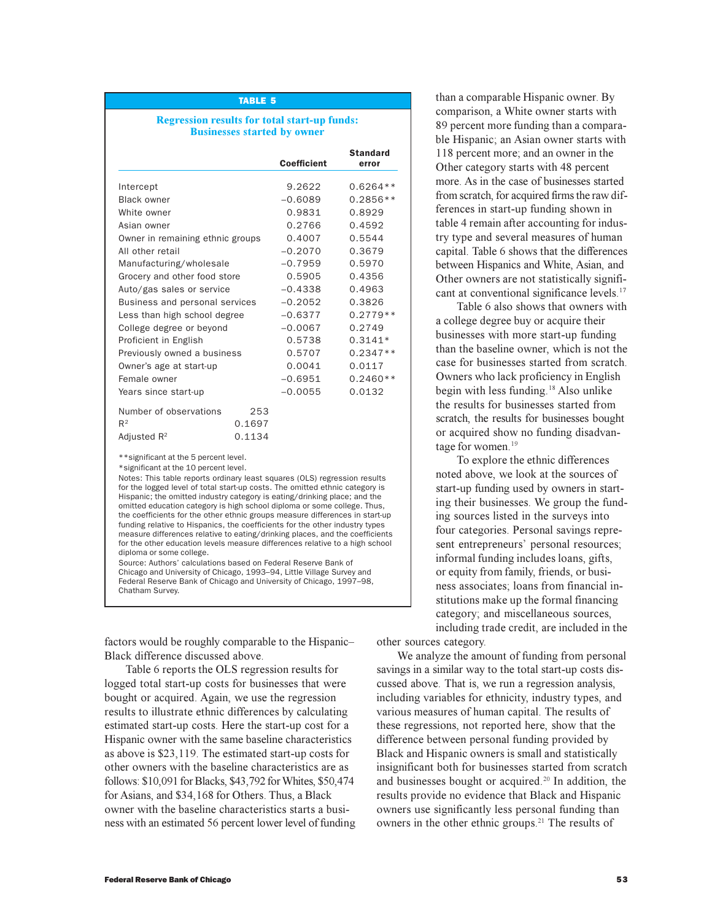#### TABLE 5

### **Regression results for total start-up funds: Businesses started by owner**

|                                  |        | <b>Coefficient</b> | <b>Standard</b><br>error |
|----------------------------------|--------|--------------------|--------------------------|
|                                  |        |                    |                          |
| Intercept                        |        | 9.2622             | $0.6264**$               |
| <b>Black owner</b>               |        | $-0.6089$          | $0.2856**$               |
| White owner                      |        | 0.9831             | 0.8929                   |
| Asian owner                      |        | 0.2766             | 0.4592                   |
| Owner in remaining ethnic groups |        | 0.4007             | 0.5544                   |
| All other retail                 |        | $-0.2070$          | 0.3679                   |
| Manufacturing/wholesale          |        | $-0.7959$          | 0.5970                   |
| Grocery and other food store     |        | 0.5905             | 0.4356                   |
| Auto/gas sales or service        |        | $-0.4338$          | 0.4963                   |
| Business and personal services   |        | $-0.2052$          | 0.3826                   |
| Less than high school degree     |        | $-0.6377$          | $0.2779**$               |
| College degree or beyond         |        | $-0.0067$          | 0.2749                   |
| Proficient in English            |        | 0.5738             | $0.3141*$                |
| Previously owned a business      |        | 0.5707             | $0.2347**$               |
| Owner's age at start-up          |        | 0.0041             | 0.0117                   |
| Female owner                     |        | $-0.6951$          | $0.2460**$               |
| Years since start-up             |        | $-0.0055$          | 0.0132                   |
| Number of observations           | 253    |                    |                          |
| $R^2$                            | 0.1697 |                    |                          |
| Adjusted $R^2$                   | 0.1134 |                    |                          |

\*\*significant at the 5 percent level.

\*significant at the 10 percent level.

Notes: This table reports ordinary least squares (OLS) regression results for the logged level of total start-up costs. The omitted ethnic category is Hispanic; the omitted industry category is eating/drinking place; and the omitted education category is high school diploma or some college. Thus, the coefficients for the other ethnic groups measure differences in start-up funding relative to Hispanics, the coefficients for the other industry types measure differences relative to eating/drinking places, and the coefficients for the other education levels measure differences relative to a high school diploma or some college.

Source: Authors' calculations based on Federal Reserve Bank of Chicago and University of Chicago, 1993–94, Little Village Survey and Federal Reserve Bank of Chicago and University of Chicago, 1997–98, Chatham Survey.

factors would be roughly comparable to the Hispanic Black difference discussed above.

Table 6 reports the OLS regression results for logged total start-up costs for businesses that were bought or acquired. Again, we use the regression results to illustrate ethnic differences by calculating estimated start-up costs. Here the start-up cost for a Hispanic owner with the same baseline characteristics as above is \$23,119. The estimated start-up costs for other owners with the baseline characteristics are as follows: \$10,091 for Blacks, \$43,792 for Whites, \$50,474 for Asians, and \$34,168 for Others. Thus, a Black owner with the baseline characteristics starts a business with an estimated 56 percent lower level of funding

than a comparable Hispanic owner. By comparison, a White owner starts with 89 percent more funding than a comparable Hispanic; an Asian owner starts with 118 percent more; and an owner in the Other category starts with 48 percent more. As in the case of businesses started from scratch, for acquired firms the raw differences in start-up funding shown in table 4 remain after accounting for industry type and several measures of human capital. Table 6 shows that the differences between Hispanics and White, Asian, and Other owners are not statistically significant at conventional significance levels.<sup>17</sup>

Table 6 also shows that owners with a college degree buy or acquire their businesses with more start-up funding than the baseline owner, which is not the case for businesses started from scratch. Owners who lack proficiency in English begin with less funding.<sup>18</sup> Also unlike the results for businesses started from scratch, the results for businesses bought or acquired show no funding disadvantage for women.<sup>19</sup>

To explore the ethnic differences noted above, we look at the sources of start-up funding used by owners in starting their businesses. We group the funding sources listed in the surveys into four categories. Personal savings represent entrepreneurs' personal resources; informal funding includes loans, gifts, or equity from family, friends, or business associates; loans from financial institutions make up the formal financing category; and miscellaneous sources, including trade credit, are included in the

other sources category.

We analyze the amount of funding from personal savings in a similar way to the total start-up costs discussed above. That is, we run a regression analysis, including variables for ethnicity, industry types, and various measures of human capital. The results of these regressions, not reported here, show that the difference between personal funding provided by Black and Hispanic owners is small and statistically insignificant both for businesses started from scratch and businesses bought or acquired.<sup>20</sup> In addition, the results provide no evidence that Black and Hispanic owners use significantly less personal funding than owners in the other ethnic groups.<sup>21</sup> The results of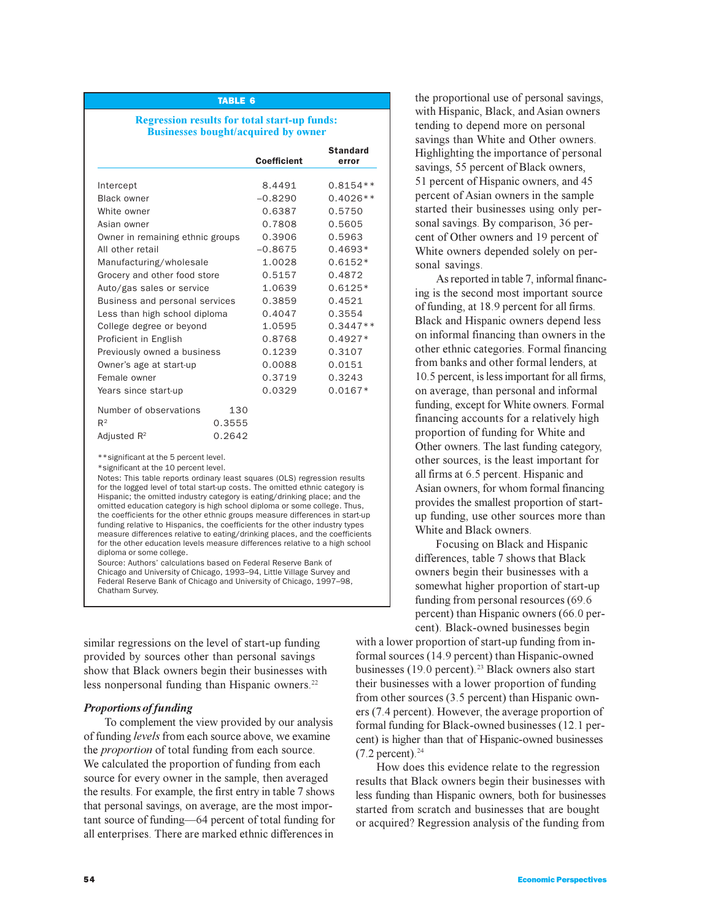#### TABLE 6

### **Regression results for total start-up funds: Businesses bought/acquired by owner**

|                                  |        | <b>Coefficient</b> | <b>Standard</b><br>error |
|----------------------------------|--------|--------------------|--------------------------|
|                                  |        |                    |                          |
| Intercept                        |        | 8.4491             | $0.8154**$               |
| <b>Black owner</b>               |        | $-0.8290$          | $0.4026**$               |
| White owner                      |        | 0.6387             | 0.5750                   |
| Asian owner                      |        | 0.7808             | 0.5605                   |
| Owner in remaining ethnic groups |        | 0.3906             | 0.5963                   |
| All other retail                 |        | $-0.8675$          | $0.4693*$                |
| Manufacturing/wholesale          |        | 1.0028             | $0.6152*$                |
| Grocery and other food store     |        | 0.5157             | 0.4872                   |
| Auto/gas sales or service        |        | 1.0639             | $0.6125*$                |
| Business and personal services   |        | 0.3859             | 0.4521                   |
| Less than high school diploma    |        | 0.4047             | 0.3554                   |
| College degree or beyond         |        | 1.0595             | $0.3447**$               |
| Proficient in English            |        | 0.8768             | $0.4927*$                |
| Previously owned a business      |        | 0.1239             | 0.3107                   |
| Owner's age at start-up          |        | 0.0088             | 0.0151                   |
| Female owner                     |        | 0.3719             | 0.3243                   |
| Years since start-up             |        | 0.0329             | $0.0167*$                |
| Number of observations           | 130    |                    |                          |
| R <sup>2</sup>                   | 0.3555 |                    |                          |
| Adiusted R <sup>2</sup>          | 0.2642 |                    |                          |

\*\*significant at the 5 percent level.

\*significant at the 10 percent level.

Notes: This table reports ordinary least squares (OLS) regression results for the logged level of total start-up costs. The omitted ethnic category is Hispanic; the omitted industry category is eating/drinking place; and the omitted education category is high school diploma or some college. Thus, the coefficients for the other ethnic groups measure differences in start-up funding relative to Hispanics, the coefficients for the other industry types measure differences relative to eating/drinking places, and the coefficients for the other education levels measure differences relative to a high school diploma or some college.

Source: Authors' calculations based on Federal Reserve Bank of Chicago and University of Chicago, 1993–94, Little Village Survey and Federal Reserve Bank of Chicago and University of Chicago, 1997–98, Chatham Survey.

similar regressions on the level of start-up funding provided by sources other than personal savings show that Black owners begin their businesses with less nonpersonal funding than Hispanic owners.<sup>22</sup>

#### *Proportions of funding*

To complement the view provided by our analysis of funding *levels* from each source above, we examine the *proportion* of total funding from each source. We calculated the proportion of funding from each source for every owner in the sample, then averaged the results. For example, the first entry in table 7 shows that personal savings, on average, are the most important source of funding—64 percent of total funding for all enterprises. There are marked ethnic differences in

the proportional use of personal savings, with Hispanic, Black, and Asian owners tending to depend more on personal savings than White and Other owners. Highlighting the importance of personal savings, 55 percent of Black owners, 51 percent of Hispanic owners, and 45 percent of Asian owners in the sample started their businesses using only personal savings. By comparison, 36 percent of Other owners and 19 percent of White owners depended solely on personal savings.

As reported in table 7, informal financing is the second most important source of funding, at 18.9 percent for all firms. Black and Hispanic owners depend less on informal financing than owners in the other ethnic categories. Formal financing from banks and other formal lenders, at 10.5 percent, is less important for all firms, on average, than personal and informal funding, except for White owners. Formal financing accounts for a relatively high proportion of funding for White and Other owners. The last funding category, other sources, is the least important for all firms at 6.5 percent. Hispanic and Asian owners, for whom formal financing provides the smallest proportion of startup funding, use other sources more than White and Black owners.

Focusing on Black and Hispanic differences, table 7 shows that Black owners begin their businesses with a somewhat higher proportion of start-up funding from personal resources (69.6 percent) than Hispanic owners (66.0 percent). Black-owned businesses begin

with a lower proportion of start-up funding from informal sources (14.9 percent) than Hispanic-owned businesses (19.0 percent).<sup>23</sup> Black owners also start their businesses with a lower proportion of funding from other sources (3.5 percent) than Hispanic owners (7.4 percent). However, the average proportion of formal funding for Black-owned businesses (12.1 percent) is higher than that of Hispanic-owned businesses  $(7.2$  percent).<sup>24</sup>

How does this evidence relate to the regression results that Black owners begin their businesses with less funding than Hispanic owners, both for businesses started from scratch and businesses that are bought or acquired? Regression analysis of the funding from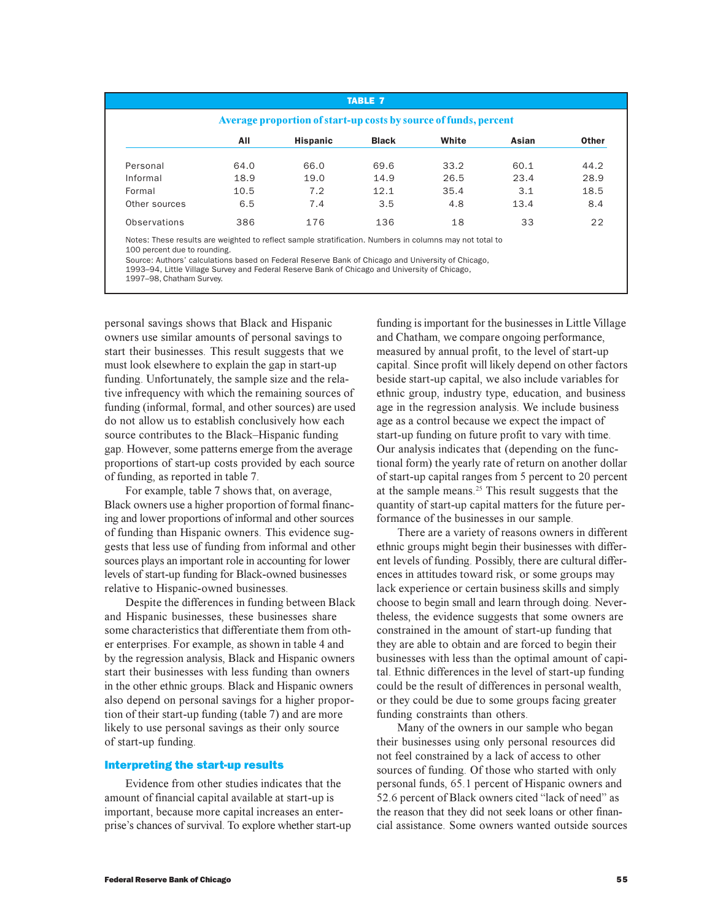| Average proportion of start-up costs by source of funds, percent                                        |      |                 |              |       |       |              |  |  |
|---------------------------------------------------------------------------------------------------------|------|-----------------|--------------|-------|-------|--------------|--|--|
|                                                                                                         | All  | <b>Hispanic</b> | <b>Black</b> | White | Asian | <b>Other</b> |  |  |
| Personal                                                                                                | 64.0 | 66.0            | 69.6         | 33.2  | 60.1  | 44.2         |  |  |
| Informal                                                                                                | 18.9 | 19.0            | 14.9         | 26.5  | 23.4  | 28.9         |  |  |
| Formal                                                                                                  | 10.5 | 7.2             | 12.1         | 35.4  | 3.1   | 18.5         |  |  |
| Other sources                                                                                           | 6.5  | 7.4             | 3.5          | 4.8   | 13.4  | 8.4          |  |  |
| Observations                                                                                            | 386  | 176             | 136          | 18    | 33    | 22           |  |  |
| Notes: These results are weighted to reflect sample stratification. Numbers in columns may not total to |      |                 |              |       |       |              |  |  |

erve Bank of Chicago and University of Chicago,

1997–98, Chatham Survey.

personal savings shows that Black and Hispanic owners use similar amounts of personal savings to start their businesses. This result suggests that we must look elsewhere to explain the gap in start-up funding. Unfortunately, the sample size and the relative infrequency with which the remaining sources of funding (informal, formal, and other sources) are used do not allow us to establish conclusively how each source contributes to the Black-Hispanic funding gap. However, some patterns emerge from the average proportions of start-up costs provided by each source of funding, as reported in table 7.

For example, table 7 shows that, on average, Black owners use a higher proportion of formal financing and lower proportions of informal and other sources of funding than Hispanic owners. This evidence suggests that less use of funding from informal and other sources plays an important role in accounting for lower levels of start-up funding for Black-owned businesses relative to Hispanic-owned businesses.

Despite the differences in funding between Black and Hispanic businesses, these businesses share some characteristics that differentiate them from other enterprises. For example, as shown in table 4 and by the regression analysis, Black and Hispanic owners start their businesses with less funding than owners in the other ethnic groups. Black and Hispanic owners also depend on personal savings for a higher proportion of their start-up funding (table 7) and are more likely to use personal savings as their only source of start-up funding.

# Interpreting the start-up results

Evidence from other studies indicates that the amount of financial capital available at start-up is important, because more capital increases an enterprise's chances of survival. To explore whether start-up funding is important for the businesses in Little Village and Chatham, we compare ongoing performance, measured by annual profit, to the level of start-up capital. Since profit will likely depend on other factors beside start-up capital, we also include variables for ethnic group, industry type, education, and business age in the regression analysis. We include business age as a control because we expect the impact of start-up funding on future profit to vary with time. Our analysis indicates that (depending on the functional form) the yearly rate of return on another dollar of start-up capital ranges from 5 percent to 20 percent at the sample means.<sup>25</sup> This result suggests that the quantity of start-up capital matters for the future performance of the businesses in our sample.

There are a variety of reasons owners in different ethnic groups might begin their businesses with different levels of funding. Possibly, there are cultural differences in attitudes toward risk, or some groups may lack experience or certain business skills and simply choose to begin small and learn through doing. Nevertheless, the evidence suggests that some owners are constrained in the amount of start-up funding that they are able to obtain and are forced to begin their businesses with less than the optimal amount of capital. Ethnic differences in the level of start-up funding could be the result of differences in personal wealth, or they could be due to some groups facing greater funding constraints than others.

Many of the owners in our sample who began their businesses using only personal resources did not feel constrained by a lack of access to other sources of funding. Of those who started with only personal funds, 65.1 percent of Hispanic owners and 52.6 percent of Black owners cited "lack of need" as the reason that they did not seek loans or other financial assistance. Some owners wanted outside sources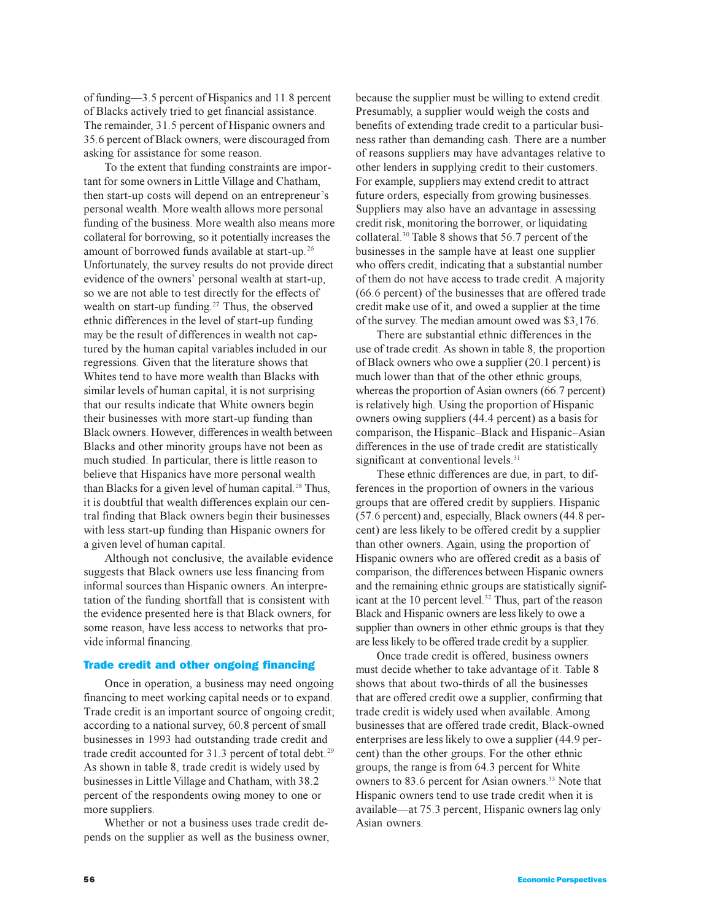of funding—3.5 percent of Hispanics and 11.8 percent of Blacks actively tried to get financial assistance. The remainder, 31.5 percent of Hispanic owners and 35.6 percent of Black owners, were discouraged from asking for assistance for some reason.

To the extent that funding constraints are important for some owners in Little Village and Chatham, then start-up costs will depend on an entrepreneur's personal wealth. More wealth allows more personal funding of the business. More wealth also means more collateral for borrowing, so it potentially increases the amount of borrowed funds available at start-up.<sup>26</sup> Unfortunately, the survey results do not provide direct evidence of the owners' personal wealth at start-up, so we are not able to test directly for the effects of wealth on start-up funding.<sup>27</sup> Thus, the observed ethnic differences in the level of start-up funding may be the result of differences in wealth not captured by the human capital variables included in our regressions. Given that the literature shows that Whites tend to have more wealth than Blacks with similar levels of human capital, it is not surprising that our results indicate that White owners begin their businesses with more start-up funding than Black owners. However, differences in wealth between Blacks and other minority groups have not been as much studied. In particular, there is little reason to believe that Hispanics have more personal wealth than Blacks for a given level of human capital.<sup>28</sup> Thus, it is doubtful that wealth differences explain our central finding that Black owners begin their businesses with less start-up funding than Hispanic owners for a given level of human capital.

Although not conclusive, the available evidence suggests that Black owners use less financing from informal sources than Hispanic owners. An interpretation of the funding shortfall that is consistent with the evidence presented here is that Black owners, for some reason, have less access to networks that provide informal financing.

#### Trade credit and other ongoing financing

Once in operation, a business may need ongoing financing to meet working capital needs or to expand. Trade credit is an important source of ongoing credit; according to a national survey, 60.8 percent of small businesses in 1993 had outstanding trade credit and trade credit accounted for 31.3 percent of total debt.<sup>29</sup> As shown in table 8, trade credit is widely used by businesses in Little Village and Chatham, with 38.2 percent of the respondents owing money to one or more suppliers.

Whether or not a business uses trade credit depends on the supplier as well as the business owner,

because the supplier must be willing to extend credit. Presumably, a supplier would weigh the costs and benefits of extending trade credit to a particular business rather than demanding cash. There are a number of reasons suppliers may have advantages relative to other lenders in supplying credit to their customers. For example, suppliers may extend credit to attract future orders, especially from growing businesses. Suppliers may also have an advantage in assessing credit risk, monitoring the borrower, or liquidating collateral.<sup>30</sup> Table 8 shows that 56.7 percent of the businesses in the sample have at least one supplier who offers credit, indicating that a substantial number of them do not have access to trade credit. A majority (66.6 percent) of the businesses that are offered trade credit make use of it, and owed a supplier at the time of the survey. The median amount owed was \$3,176.

There are substantial ethnic differences in the use of trade credit. As shown in table 8, the proportion of Black owners who owe a supplier (20.1 percent) is much lower than that of the other ethnic groups, whereas the proportion of Asian owners (66.7 percent) is relatively high. Using the proportion of Hispanic owners owing suppliers (44.4 percent) as a basis for comparison, the Hispanic-Black and Hispanic-Asian differences in the use of trade credit are statistically significant at conventional levels.<sup>31</sup>

These ethnic differences are due, in part, to differences in the proportion of owners in the various groups that are offered credit by suppliers. Hispanic (57.6 percent) and, especially, Black owners (44.8 percent) are less likely to be offered credit by a supplier than other owners. Again, using the proportion of Hispanic owners who are offered credit as a basis of comparison, the differences between Hispanic owners and the remaining ethnic groups are statistically significant at the 10 percent level.<sup>32</sup> Thus, part of the reason Black and Hispanic owners are less likely to owe a supplier than owners in other ethnic groups is that they are less likely to be offered trade credit by a supplier.

Once trade credit is offered, business owners must decide whether to take advantage of it. Table 8 shows that about two-thirds of all the businesses that are offered credit owe a supplier, confirming that trade credit is widely used when available. Among businesses that are offered trade credit, Black-owned enterprises are less likely to owe a supplier (44.9 percent) than the other groups. For the other ethnic groups, the range is from 64.3 percent for White owners to 83.6 percent for Asian owners.<sup>33</sup> Note that Hispanic owners tend to use trade credit when it is available—at 75.3 percent, Hispanic owners lag only Asian owners.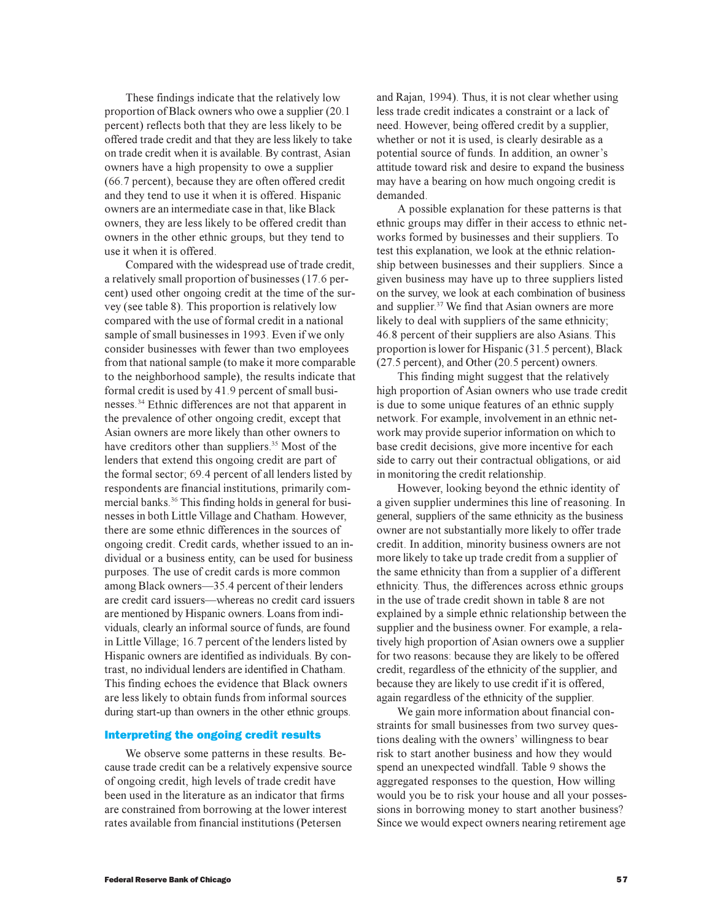These findings indicate that the relatively low proportion of Black owners who owe a supplier (20.1 percent) reflects both that they are less likely to be offered trade credit and that they are less likely to take on trade credit when it is available. By contrast, Asian owners have a high propensity to owe a supplier (66.7 percent), because they are often offered credit and they tend to use it when it is offered. Hispanic owners are an intermediate case in that, like Black owners, they are less likely to be offered credit than owners in the other ethnic groups, but they tend to use it when it is offered.

Compared with the widespread use of trade credit, a relatively small proportion of businesses (17.6 percent) used other ongoing credit at the time of the survey (see table 8). This proportion is relatively low compared with the use of formal credit in a national sample of small businesses in 1993. Even if we only consider businesses with fewer than two employees from that national sample (to make it more comparable to the neighborhood sample), the results indicate that formal credit is used by 41.9 percent of small businesses.<sup>34</sup> Ethnic differences are not that apparent in the prevalence of other ongoing credit, except that Asian owners are more likely than other owners to have creditors other than suppliers.<sup>35</sup> Most of the lenders that extend this ongoing credit are part of the formal sector; 69.4 percent of all lenders listed by respondents are financial institutions, primarily commercial banks.<sup>36</sup> This finding holds in general for businesses in both Little Village and Chatham. However, there are some ethnic differences in the sources of ongoing credit. Credit cards, whether issued to an individual or a business entity, can be used for business purposes. The use of credit cards is more common among Black owners-35.4 percent of their lenders are credit card issuers-whereas no credit card issuers are mentioned by Hispanic owners. Loans from individuals, clearly an informal source of funds, are found in Little Village; 16.7 percent of the lenders listed by Hispanic owners are identified as individuals. By contrast, no individual lenders are identified in Chatham. This finding echoes the evidence that Black owners are less likely to obtain funds from informal sources during start-up than owners in the other ethnic groups.

# Interpreting the ongoing credit results

We observe some patterns in these results. Because trade credit can be a relatively expensive source of ongoing credit, high levels of trade credit have been used in the literature as an indicator that firms are constrained from borrowing at the lower interest rates available from financial institutions (Petersen

and Rajan, 1994). Thus, it is not clear whether using less trade credit indicates a constraint or a lack of need. However, being offered credit by a supplier, whether or not it is used, is clearly desirable as a potential source of funds. In addition, an owner's attitude toward risk and desire to expand the business may have a bearing on how much ongoing credit is demanded.

A possible explanation for these patterns is that ethnic groups may differ in their access to ethnic networks formed by businesses and their suppliers. To test this explanation, we look at the ethnic relationship between businesses and their suppliers. Since a given business may have up to three suppliers listed on the survey, we look at each combination of business and supplier.<sup>37</sup> We find that Asian owners are more likely to deal with suppliers of the same ethnicity; 46.8 percent of their suppliers are also Asians. This proportion is lower for Hispanic (31.5 percent), Black (27.5 percent), and Other (20.5 percent) owners.

This finding might suggest that the relatively high proportion of Asian owners who use trade credit is due to some unique features of an ethnic supply network. For example, involvement in an ethnic network may provide superior information on which to base credit decisions, give more incentive for each side to carry out their contractual obligations, or aid in monitoring the credit relationship.

However, looking beyond the ethnic identity of a given supplier undermines this line of reasoning. In general, suppliers of the same ethnicity as the business owner are not substantially more likely to offer trade credit. In addition, minority business owners are not more likely to take up trade credit from a supplier of the same ethnicity than from a supplier of a different ethnicity. Thus, the differences across ethnic groups in the use of trade credit shown in table 8 are not explained by a simple ethnic relationship between the supplier and the business owner. For example, a relatively high proportion of Asian owners owe a supplier for two reasons: because they are likely to be offered credit, regardless of the ethnicity of the supplier, and because they are likely to use credit if it is offered, again regardless of the ethnicity of the supplier.

We gain more information about financial constraints for small businesses from two survey questions dealing with the owners' willingness to bear risk to start another business and how they would spend an unexpected windfall. Table 9 shows the aggregated responses to the question, How willing would you be to risk your house and all your possessions in borrowing money to start another business? Since we would expect owners nearing retirement age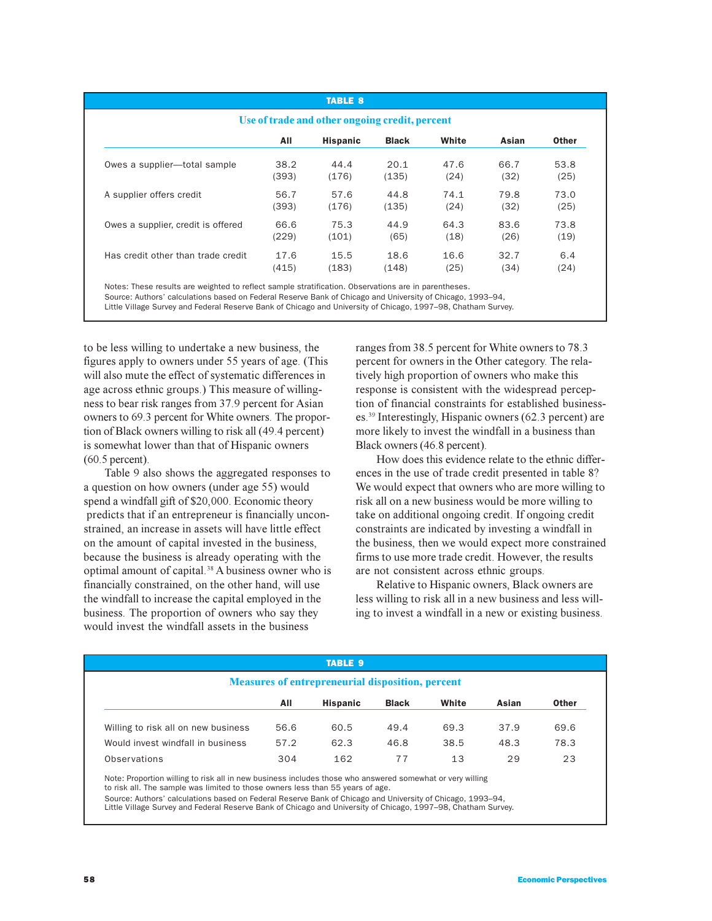|                                    |       | <b>TABLE 8</b>                                 |              |       |       |              |
|------------------------------------|-------|------------------------------------------------|--------------|-------|-------|--------------|
|                                    |       | Use of trade and other ongoing credit, percent |              |       |       |              |
|                                    | All   | <b>Hispanic</b>                                | <b>Black</b> | White | Asian | <b>Other</b> |
| Owes a supplier-total sample       | 38.2  | 44.4                                           | 20.1         | 47.6  | 66.7  | 53.8         |
|                                    | (393) | (176)                                          | (135)        | (24)  | (32)  | (25)         |
| A supplier offers credit           | 56.7  | 57.6                                           | 44.8         | 74.1  | 79.8  | 73.0         |
|                                    | (393) | (176)                                          | (135)        | (24)  | (32)  | (25)         |
| Owes a supplier, credit is offered | 66.6  | 75.3                                           | 44.9         | 64.3  | 83.6  | 73.8         |
|                                    | (229) | (101)                                          | (65)         | (18)  | (26)  | (19)         |
| Has credit other than trade credit | 17.6  | 15.5                                           | 18.6         | 16.6  | 32.7  | 6.4          |
|                                    | (415) | (183)                                          | (148)        | (25)  | (34)  | (24)         |

Notes: These results are weighted to reflect sample stratification. Observations are in parentheses.

Source: Authors' calculations based on Federal Reserve Bank of Chicago and University of Chicago, 1993–94,

Little Village Survey and Federal Reserve Bank of Chicago and University of Chicago, 1997–98, Chatham Survey.

to be less willing to undertake a new business, the figures apply to owners under 55 years of age. (This will also mute the effect of systematic differences in age across ethnic groups.) This measure of willingness to bear risk ranges from 37.9 percent for Asian owners to 69.3 percent for White owners. The proportion of Black owners willing to risk all (49.4 percent) is somewhat lower than that of Hispanic owners (60.5 percent).

Table 9 also shows the aggregated responses to a question on how owners (under age 55) would spend a windfall gift of \$20,000. Economic theory predicts that if an entrepreneur is financially unconstrained, an increase in assets will have little effect on the amount of capital invested in the business, because the business is already operating with the optimal amount of capital.<sup>38</sup> A business owner who is financially constrained, on the other hand, will use the windfall to increase the capital employed in the business. The proportion of owners who say they would invest the windfall assets in the business

ranges from 38.5 percent for White owners to 78.3 percent for owners in the Other category. The relatively high proportion of owners who make this response is consistent with the widespread perception of financial constraints for established businesses.<sup>39</sup> Interestingly, Hispanic owners (62.3 percent) are more likely to invest the windfall in a business than Black owners (46.8 percent).

How does this evidence relate to the ethnic differences in the use of trade credit presented in table 8? We would expect that owners who are more willing to risk all on a new business would be more willing to take on additional ongoing credit. If ongoing credit constraints are indicated by investing a windfall in the business, then we would expect more constrained firms to use more trade credit. However, the results are not consistent across ethnic groups.

Relative to Hispanic owners, Black owners are less willing to risk all in a new business and less willing to invest a windfall in a new or existing business.

|                                                         |      | <b>TABLE 9</b>  |              |       |       |              |  |
|---------------------------------------------------------|------|-----------------|--------------|-------|-------|--------------|--|
| <b>Measures of entrepreneurial disposition, percent</b> |      |                 |              |       |       |              |  |
|                                                         | All  | <b>Hispanic</b> | <b>Black</b> | White | Asian | <b>Other</b> |  |
| Willing to risk all on new business                     | 56.6 | 60.5            | 49.4         | 69.3  | 37.9  | 69.6         |  |
| Would invest windfall in business                       | 57.2 | 62.3            | 46.8         | 38.5  | 48.3  | 78.3         |  |
| Observations                                            | 304  | 162             | 77           | 13    | 29    | 23           |  |

Note: Proportion willing to risk all in new business includes those who answered somewhat or very willing

to risk all. The sample was limited to those owners less than 55 years of age.

Source: Authors' calculations based on Federal Reserve Bank of Chicago and University of Chicago, 1993–94, Little Village Survey and Federal Reserve Bank of Chicago and University of Chicago, 1997–98, Chatham Survey.

58 Economic Perspectives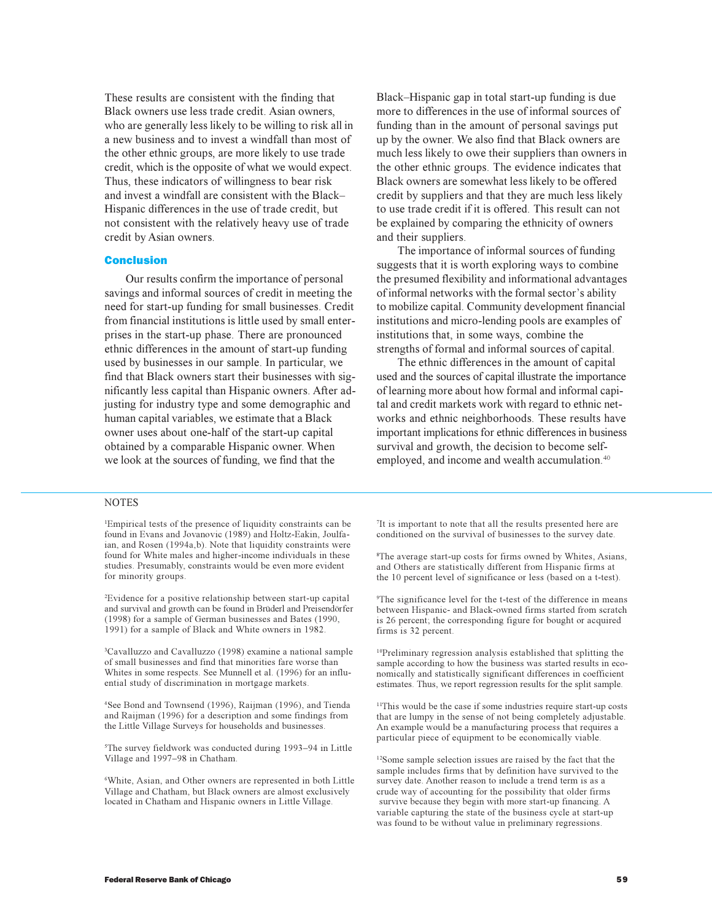These results are consistent with the finding that Black owners use less trade credit. Asian owners, who are generally less likely to be willing to risk all in a new business and to invest a windfall than most of the other ethnic groups, are more likely to use trade credit, which is the opposite of what we would expect. Thus, these indicators of willingness to bear risk and invest a windfall are consistent with the Black Hispanic differences in the use of trade credit, but not consistent with the relatively heavy use of trade credit by Asian owners.

#### Conclusion

Our results confirm the importance of personal savings and informal sources of credit in meeting the need for start-up funding for small businesses. Credit from financial institutions is little used by small enterprises in the start-up phase. There are pronounced ethnic differences in the amount of start-up funding used by businesses in our sample. In particular, we find that Black owners start their businesses with significantly less capital than Hispanic owners. After adjusting for industry type and some demographic and human capital variables, we estimate that a Black owner uses about one-half of the start-up capital obtained by a comparable Hispanic owner. When we look at the sources of funding, we find that the

Black–Hispanic gap in total start-up funding is due more to differences in the use of informal sources of funding than in the amount of personal savings put up by the owner. We also find that Black owners are much less likely to owe their suppliers than owners in the other ethnic groups. The evidence indicates that Black owners are somewhat less likely to be offered credit by suppliers and that they are much less likely to use trade credit if it is offered. This result can not be explained by comparing the ethnicity of owners and their suppliers.

The importance of informal sources of funding suggests that it is worth exploring ways to combine the presumed flexibility and informational advantages of informal networks with the formal sector's ability to mobilize capital. Community development financial institutions and micro-lending pools are examples of institutions that, in some ways, combine the strengths of formal and informal sources of capital.

The ethnic differences in the amount of capital used and the sources of capital illustrate the importance of learning more about how formal and informal capital and credit markets work with regard to ethnic networks and ethnic neighborhoods. These results have important implications for ethnic differences in business survival and growth, the decision to become selfemployed, and income and wealth accumulation.<sup>40</sup>

#### **NOTES**

1 Empirical tests of the presence of liquidity constraints can be found in Evans and Jovanovic (1989) and Holtz-Eakin, Joulfaian, and Rosen (1994a,b). Note that liquidity constraints were found for White males and higher-income individuals in these studies. Presumably, constraints would be even more evident for minority groups.

2 Evidence for a positive relationship between start-up capital and survival and growth can be found in Brüderl and Preisendörfer (1998) for a sample of German businesses and Bates (1990, 1991) for a sample of Black and White owners in 1982.

3 Cavalluzzo and Cavalluzzo (1998) examine a national sample of small businesses and find that minorities fare worse than Whites in some respects. See Munnell et al. (1996) for an influential study of discrimination in mortgage markets.

4 See Bond and Townsend (1996), Raijman (1996), and Tienda and Raijman (1996) for a description and some findings from the Little Village Surveys for households and businesses.

<sup>5</sup>The survey fieldwork was conducted during 1993-94 in Little Village and 1997-98 in Chatham.

6 White, Asian, and Other owners are represented in both Little Village and Chatham, but Black owners are almost exclusively located in Chatham and Hispanic owners in Little Village.

7 It is important to note that all the results presented here are conditioned on the survival of businesses to the survey date.

8 The average start-up costs for firms owned by Whites, Asians, and Others are statistically different from Hispanic firms at the 10 percent level of significance or less (based on a t-test).

9 The significance level for the t-test of the difference in means between Hispanic- and Black-owned firms started from scratch is 26 percent; the corresponding figure for bought or acquired firms is 32 percent.

<sup>10</sup>Preliminary regression analysis established that splitting the sample according to how the business was started results in economically and statistically significant differences in coefficient estimates. Thus, we report regression results for the split sample.

<sup>11</sup>This would be the case if some industries require start-up costs that are lumpy in the sense of not being completely adjustable. An example would be a manufacturing process that requires a particular piece of equipment to be economically viable.

<sup>12</sup>Some sample selection issues are raised by the fact that the sample includes firms that by definition have survived to the survey date. Another reason to include a trend term is as a crude way of accounting for the possibility that older firms survive because they begin with more start-up financing. A variable capturing the state of the business cycle at start-up was found to be without value in preliminary regressions.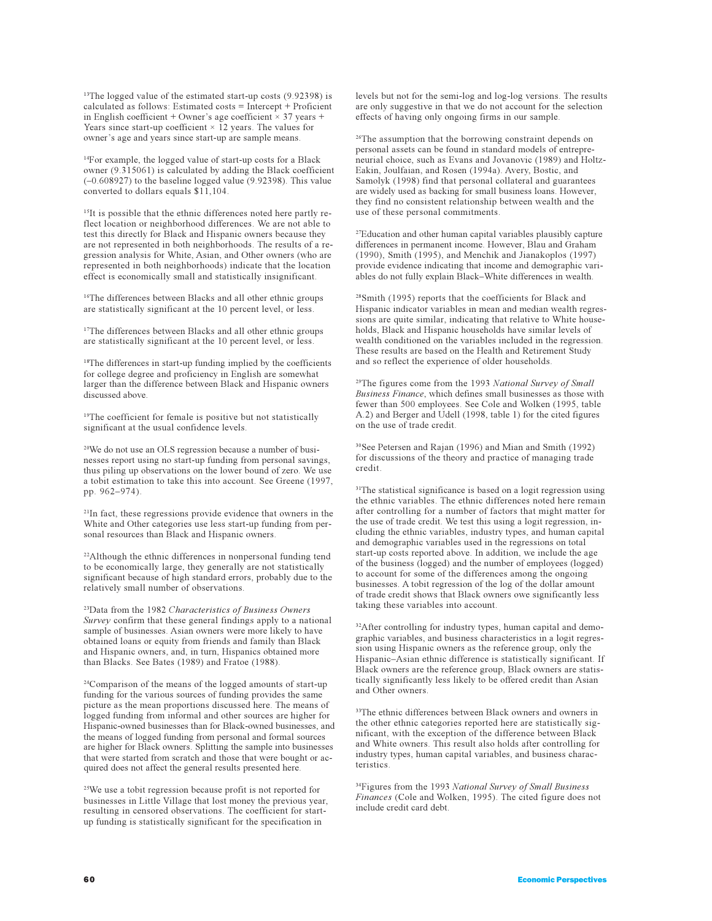<sup>13</sup>The logged value of the estimated start-up costs (9.92398) is calculated as follows: Estimated costs = Intercept + Proficient in English coefficient + Owner's age coefficient  $\times$  37 years + Years since start-up coefficient  $\times$  12 years. The values for owner's age and years since start-up are sample means.

<sup>14</sup>For example, the logged value of start-up costs for a Black owner (9.315061) is calculated by adding the Black coefficient  $(-0.608927)$  to the baseline logged value  $(9.92398)$ . This value converted to dollars equals \$11,104.

<sup>15</sup>It is possible that the ethnic differences noted here partly reflect location or neighborhood differences. We are not able to test this directly for Black and Hispanic owners because they are not represented in both neighborhoods. The results of a regression analysis for White, Asian, and Other owners (who are represented in both neighborhoods) indicate that the location effect is economically small and statistically insignificant.

<sup>16</sup>The differences between Blacks and all other ethnic groups are statistically significant at the 10 percent level, or less.

<sup>17</sup>The differences between Blacks and all other ethnic groups are statistically significant at the 10 percent level, or less.

<sup>18</sup>The differences in start-up funding implied by the coefficients for college degree and proficiency in English are somewhat larger than the difference between Black and Hispanic owners discussed above.

<sup>19</sup>The coefficient for female is positive but not statistically significant at the usual confidence levels.

20We do not use an OLS regression because a number of businesses report using no start-up funding from personal savings, thus piling up observations on the lower bound of zero. We use a tobit estimation to take this into account. See Greene (1997, pp. 962-974).

<sup>21</sup>In fact, these regressions provide evidence that owners in the White and Other categories use less start-up funding from personal resources than Black and Hispanic owners.

<sup>22</sup>Although the ethnic differences in nonpersonal funding tend to be economically large, they generally are not statistically significant because of high standard errors, probably due to the relatively small number of observations.

<sup>23</sup>Data from the 1982 *Characteristics of Business Owners Survey* confirm that these general findings apply to a national sample of businesses. Asian owners were more likely to have obtained loans or equity from friends and family than Black and Hispanic owners, and, in turn, Hispanics obtained more than Blacks. See Bates (1989) and Fratoe (1988).

<sup>24</sup>Comparison of the means of the logged amounts of start-up funding for the various sources of funding provides the same picture as the mean proportions discussed here. The means of logged funding from informal and other sources are higher for Hispanic-owned businesses than for Black-owned businesses, and the means of logged funding from personal and formal sources are higher for Black owners. Splitting the sample into businesses that were started from scratch and those that were bought or acquired does not affect the general results presented here.

<sup>25</sup>We use a tobit regression because profit is not reported for businesses in Little Village that lost money the previous year, resulting in censored observations. The coefficient for startup funding is statistically significant for the specification in

levels but not for the semi-log and log-log versions. The results are only suggestive in that we do not account for the selection effects of having only ongoing firms in our sample.

<sup>26</sup>The assumption that the borrowing constraint depends on personal assets can be found in standard models of entrepreneurial choice, such as Evans and Jovanovic (1989) and Holtz-Eakin, Joulfaian, and Rosen (1994a). Avery, Bostic, and Samolyk (1998) find that personal collateral and guarantees are widely used as backing for small business loans. However, they find no consistent relationship between wealth and the use of these personal commitments.

<sup>27</sup>Education and other human capital variables plausibly capture differences in permanent income. However, Blau and Graham (1990), Smith (1995), and Menchik and Jianakoplos (1997) provide evidence indicating that income and demographic variables do not fully explain Black-White differences in wealth.

<sup>28</sup>Smith (1995) reports that the coefficients for Black and Hispanic indicator variables in mean and median wealth regressions are quite similar, indicating that relative to White households, Black and Hispanic households have similar levels of wealth conditioned on the variables included in the regression. These results are based on the Health and Retirement Study and so reflect the experience of older households.

<sup>29</sup>The figures come from the 1993 *National Survey of Small Business Finance*, which defines small businesses as those with fewer than 500 employees. See Cole and Wolken (1995, table A.2) and Berger and Udell (1998, table 1) for the cited figures on the use of trade credit.

<sup>30</sup>See Petersen and Rajan (1996) and Mian and Smith (1992) for discussions of the theory and practice of managing trade credit.

<sup>31</sup>The statistical significance is based on a logit regression using the ethnic variables. The ethnic differences noted here remain after controlling for a number of factors that might matter for the use of trade credit. We test this using a logit regression, including the ethnic variables, industry types, and human capital and demographic variables used in the regressions on total start-up costs reported above. In addition, we include the age of the business (logged) and the number of employees (logged) to account for some of the differences among the ongoing businesses. A tobit regression of the log of the dollar amount of trade credit shows that Black owners owe significantly less taking these variables into account.

<sup>32</sup>After controlling for industry types, human capital and demographic variables, and business characteristics in a logit regression using Hispanic owners as the reference group, only the Hispanic-Asian ethnic difference is statistically significant. If Black owners are the reference group, Black owners are statistically significantly less likely to be offered credit than Asian and Other owners.

<sup>33</sup>The ethnic differences between Black owners and owners in the other ethnic categories reported here are statistically significant, with the exception of the difference between Black and White owners. This result also holds after controlling for industry types, human capital variables, and business characteristics.

<sup>34</sup>Figures from the 1993 *National Survey of Small Business Finances* (Cole and Wolken, 1995). The cited figure does not include credit card debt.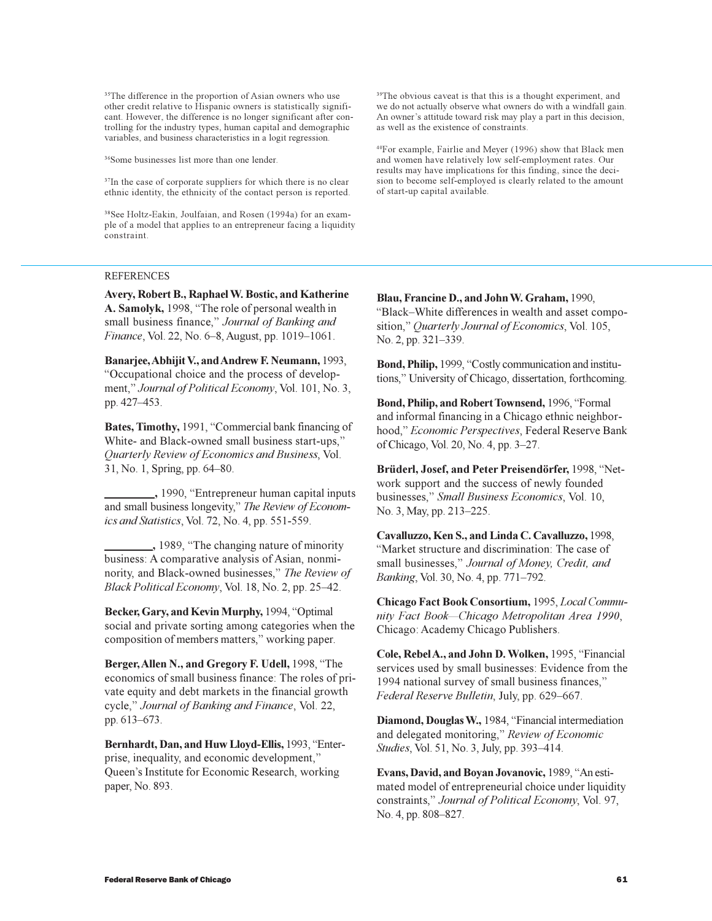<sup>35</sup>The difference in the proportion of Asian owners who use other credit relative to Hispanic owners is statistically significant. However, the difference is no longer significant after controlling for the industry types, human capital and demographic variables, and business characteristics in a logit regression.

<sup>36</sup>Some businesses list more than one lender.

<sup>37</sup>In the case of corporate suppliers for which there is no clear ethnic identity, the ethnicity of the contact person is reported.

38See Holtz-Eakin, Joulfaian, and Rosen (1994a) for an example of a model that applies to an entrepreneur facing a liquidity constraint.

### REFERENCES

**Avery, Robert B., Raphael W. Bostic, and Katherine** A. Samolyk, 1998, "The role of personal wealth in small business finance," Journal of Banking and *Finance*, Vol. 22, No. 6-8, August, pp. 1019-1061.

**Banarjee, Abhijit V., and Andrew F. Neumann,** 1993, Occupational choice and the process of development," Journal of Political Economy, Vol. 101, No. 3, pp. 427-453.

**Bates, Timothy, 1991, "Commercial bank financing of** White- and Black-owned small business start-ups," *Quarterly Review of Economics and Business*, Vol. 31, No. 1, Spring, pp. 64-80.

 **,** 1990, Entrepreneur human capital inputs and small business longevity," The Review of Econom*ics and Statistics*, Vol. 72, No. 4, pp. 551-559.

 **,** 1989, The changing nature of minority business: A comparative analysis of Asian, nonminority, and Black-owned businesses, *The Review of Black Political Economy*, Vol. 18, No. 2, pp. 25–42.

Becker, Gary, and Kevin Murphy, 1994, "Optimal social and private sorting among categories when the composition of members matters," working paper.

**Berger, Allen N., and Gregory F. Udell, 1998, "The** economics of small business finance: The roles of private equity and debt markets in the financial growth cycle, *Journal of Banking and Finance*, Vol. 22, pp. 613–673.

Bernhardt, Dan, and Huw Lloyd-Ellis, 1993, "Enterprise, inequality, and economic development, Queen's Institute for Economic Research, working paper, No. 893.

<sup>39</sup>The obvious caveat is that this is a thought experiment, and we do not actually observe what owners do with a windfall gain. An owner's attitude toward risk may play a part in this decision, as well as the existence of constraints.

<sup>40</sup>For example, Fairlie and Meyer (1996) show that Black men and women have relatively low self-employment rates. Our results may have implications for this finding, since the decision to become self-employed is clearly related to the amount of start-up capital available.

**Blau, Francine D., and John W. Graham,** 1990, "Black-White differences in wealth and asset composition," Quarterly Journal of Economics, Vol. 105, No. 2, pp. 321–339.

Bond, Philip, 1999, "Costly communication and institutions," University of Chicago, dissertation, forthcoming.

Bond, Philip, and Robert Townsend, 1996, "Formal and informal financing in a Chicago ethnic neighborhood," *Economic Perspectives*, Federal Reserve Bank of Chicago, Vol. 20, No. 4, pp. 3–27.

Brüderl, Josef, and Peter Preisendörfer, 1998, "Network support and the success of newly founded businesses, *Small Business Economics*, Vol. 10, No. 3, May, pp. 213-225.

**Cavalluzzo, Ken S., and Linda C. Cavalluzzo,** 1998, Market structure and discrimination: The case of small businesses," Journal of Money, Credit, and *Banking*, Vol. 30, No. 4, pp. 771-792.

**Chicago Fact Book Consortium,** 1995, *Local Community Fact BookChicago Metropolitan Area 1990*, Chicago: Academy Chicago Publishers.

**Cole, Rebel A., and John D. Wolken, 1995, "Financial** services used by small businesses: Evidence from the 1994 national survey of small business finances, *Federal Reserve Bulletin*, July, pp. 629-667.

**Diamond, Douglas W.,** 1984, "Financial intermediation and delegated monitoring, *Review of Economic Studies*, *Vol.* 51, *No.* 3, *July, pp.* 393-414.

**Evans, David, and Boyan Jovanovic, 1989, "An esti**mated model of entrepreneurial choice under liquidity constraints, *Journal of Political Economy*, Vol. 97, No. 4, pp. 808-827.